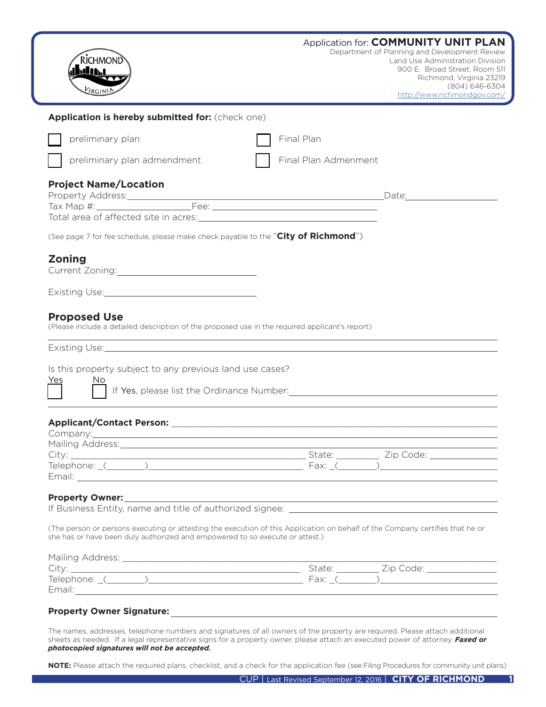| <b>RICHMOND</b><br>hd Mh<br><b>VIRGINI</b>                                                                                                                                                                                                |                                                                                                                        | Application for: COMMUNITY UNIT PLAN<br>Department of Planning and Development Review<br>Land Use Administration Division<br>900 E. Broad Street, Room 511<br>Richmond, Virginia 23219<br>(804) 646-6304<br>http://www.richmondgov.com/ |
|-------------------------------------------------------------------------------------------------------------------------------------------------------------------------------------------------------------------------------------------|------------------------------------------------------------------------------------------------------------------------|-----------------------------------------------------------------------------------------------------------------------------------------------------------------------------------------------------------------------------------------|
| Application is hereby submitted for: (check one)                                                                                                                                                                                          |                                                                                                                        |                                                                                                                                                                                                                                         |
| preliminary plan                                                                                                                                                                                                                          | Final Plan                                                                                                             |                                                                                                                                                                                                                                         |
| preliminary plan admendment                                                                                                                                                                                                               | Final Plan Admenment                                                                                                   |                                                                                                                                                                                                                                         |
| <b>Project Name/Location</b>                                                                                                                                                                                                              |                                                                                                                        |                                                                                                                                                                                                                                         |
| (See page 7 for fee schedule, please make check payable to the "City of Richmond")                                                                                                                                                        |                                                                                                                        |                                                                                                                                                                                                                                         |
| <b>Zoning</b>                                                                                                                                                                                                                             |                                                                                                                        |                                                                                                                                                                                                                                         |
|                                                                                                                                                                                                                                           |                                                                                                                        |                                                                                                                                                                                                                                         |
| Existing Use: Management Contractor Contractor Contractor Contractor Contractor Contractor Contractor Contractor<br><b>Proposed Use</b><br>(Please include a detailed description of the proposed use in the required applicant's report) | <u> 1989 - Andrea Santana, amerikana amerikana amerikana amerikana amerikana amerikana amerikana amerikana amerika</u> |                                                                                                                                                                                                                                         |
| Is this property subject to any previous land use cases?<br>Yes<br>If Yes, please list the Ordinance Number: Manual Allen Manual Allen Manual Allen Manual Allen Manual Allen Manu                                                        |                                                                                                                        |                                                                                                                                                                                                                                         |
|                                                                                                                                                                                                                                           |                                                                                                                        |                                                                                                                                                                                                                                         |
| Company:___________<br>Mailing Address: Mail and Mailing Address: Mail and Mail and Mail and Mail and Mail and Mail and Mail and Mail                                                                                                     |                                                                                                                        |                                                                                                                                                                                                                                         |
| City: City: City: City: City: City: City: City: City: City: City: City: City: City: City: City: City: City: City: City: City: City: City: City: City: City: City: City: City: City: City: City: City: City: City: City: City:             |                                                                                                                        |                                                                                                                                                                                                                                         |
| Property Owner: Network and the settlement of the settlement of the settlement of the settlement of the settlement of the settlement of the settlement of the settlement of the settlement of the settlement of the settlement            |                                                                                                                        |                                                                                                                                                                                                                                         |
| (The person or persons executing or attesting the execution of this Application on behalf of the Company certifies that he or<br>she has or have been duly authorized and empowered to so execute or attest.)                             |                                                                                                                        |                                                                                                                                                                                                                                         |
|                                                                                                                                                                                                                                           |                                                                                                                        |                                                                                                                                                                                                                                         |
|                                                                                                                                                                                                                                           |                                                                                                                        |                                                                                                                                                                                                                                         |

*photocopied signatures will not be accepted.* 

**NOTE:** Please attach the required plans, checklist, and a check for the application fee (see Filing Procedures for community unit plans)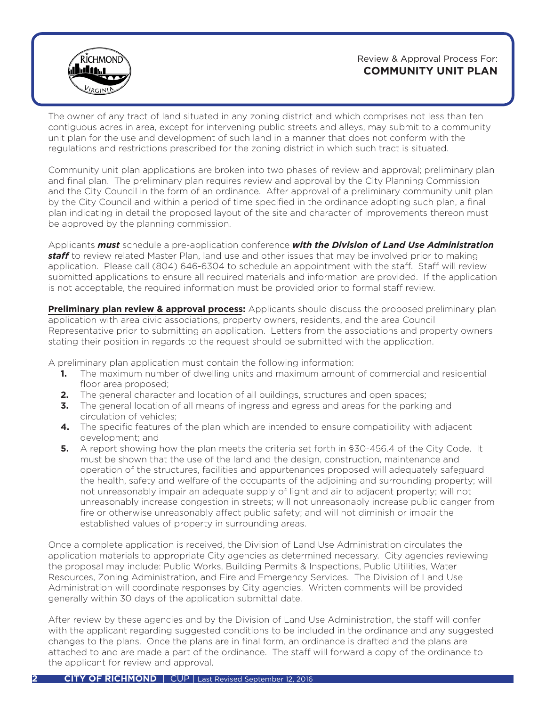

Review & Approval Process For: **COMMUNITY UNIT PLAN** 

The owner of any tract of land situated in any zoning district and which comprises not less than ten contiguous acres in area, except for intervening public streets and alleys, may submit to a community unit plan for the use and development of such land in a manner that does not conform with the regulations and restrictions prescribed for the zoning district in which such tract is situated.

Community unit plan applications are broken into two phases of review and approval; preliminary plan and final plan. The preliminary plan requires review and approval by the City Planning Commission and the City Council in the form of an ordinance. After approval of a preliminary community unit plan by the City Council and within a period of time specified in the ordinance adopting such plan, a final plan indicating in detail the proposed layout of the site and character of improvements thereon must be approved by the planning commission.

Applicants *must* schedule a pre-application conference *with the Division of Land Use Administration staff* to review related Master Plan, land use and other issues that may be involved prior to making application. Please call (804) 646-6304 to schedule an appointment with the staff. Staff will review submitted applications to ensure all required materials and information are provided. If the application is not acceptable, the required information must be provided prior to formal staff review.

**Preliminary plan review & approval process:** Applicants should discuss the proposed preliminary plan application with area civic associations, property owners, residents, and the area Council Representative prior to submitting an application. Letters from the associations and property owners stating their position in regards to the request should be submitted with the application.

A preliminary plan application must contain the following information:

- The maximum number of dwelling units and maximum amount of commercial and residential floor area proposed; **1.**
- The general character and location of all buildings, structures and open spaces; **2.**
- **3.** The general location of all means of ingress and egress and areas for the parking and circulation of vehicles;
- The specific features of the plan which are intended to ensure compatibility with adjacent **4.** development; and
- **5.** A report showing how the plan meets the criteria set forth in §30-456.4 of the City Code. It must be shown that the use of the land and the design, construction, maintenance and operation of the structures, facilities and appurtenances proposed will adequately safeguard the health, safety and welfare of the occupants of the adjoining and surrounding property; will not unreasonably impair an adequate supply of light and air to adjacent property; will not unreasonably increase congestion in streets; will not unreasonably increase public danger from fire or otherwise unreasonably affect public safety; and will not diminish or impair the established values of property in surrounding areas.

Once a complete application is received, the Division of Land Use Administration circulates the application materials to appropriate City agencies as determined necessary. City agencies reviewing the proposal may include: Public Works, Building Permits & Inspections, Public Utilities, Water Resources, Zoning Administration, and Fire and Emergency Services. The Division of Land Use Administration will coordinate responses by City agencies. Written comments will be provided generally within 30 days of the application submittal date.

After review by these agencies and by the Division of Land Use Administration, the staff will confer with the applicant regarding suggested conditions to be included in the ordinance and any suggested changes to the plans. Once the plans are in final form, an ordinance is drafted and the plans are attached to and are made a part of the ordinance. The staff will forward a copy of the ordinance to the applicant for review and approval.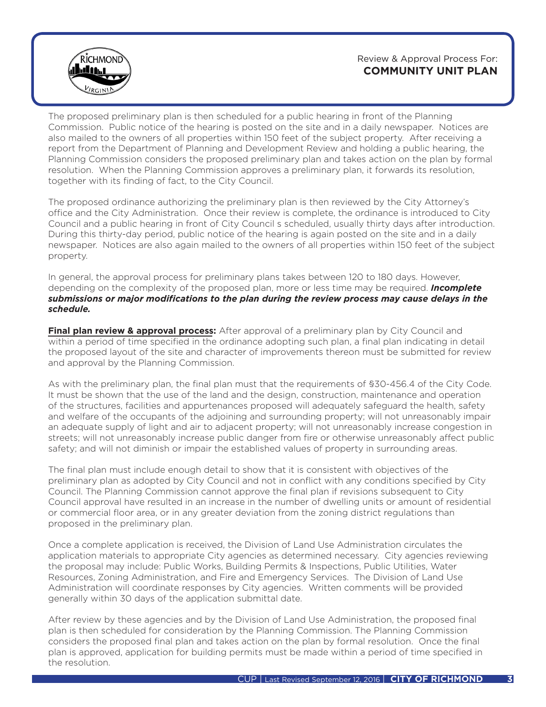Review & Approval Process For: **COMMUNITY UNIT PLAN** 



The proposed preliminary plan is then scheduled for a public hearing in front of the Planning Commission. Public notice of the hearing is posted on the site and in a daily newspaper. Notices are also mailed to the owners of all properties within 150 feet of the subject property. After receiving a report from the Department of Planning and Development Review and holding a public hearing, the Planning Commission considers the proposed preliminary plan and takes action on the plan by formal resolution. When the Planning Commission approves a preliminary plan, it forwards its resolution, together with its finding of fact, to the City Council.

The proposed ordinance authorizing the preliminary plan is then reviewed by the City Attorney's office and the City Administration. Once their review is complete, the ordinance is introduced to City Council and a public hearing in front of City Council s scheduled, usually thirty days after introduction. During this thirty-day period, public notice of the hearing is again posted on the site and in a daily newspaper. Notices are also again mailed to the owners of all properties within 150 feet of the subject property.

In general, the approval process for preliminary plans takes between 120 to 180 days. However, depending on the complexity of the proposed plan, more or less time may be required. *Incomplete submissions or major modifications to the plan during the review process may cause delays in the schedule.*

**Final plan review & approval process:** After approval of a preliminary plan by City Council and within a period of time specified in the ordinance adopting such plan, a final plan indicating in detail the proposed layout of the site and character of improvements thereon must be submitted for review and approval by the Planning Commission.

As with the preliminary plan, the final plan must that the requirements of §30-456.4 of the City Code. It must be shown that the use of the land and the design, construction, maintenance and operation of the structures, facilities and appurtenances proposed will adequately safeguard the health, safety and welfare of the occupants of the adjoining and surrounding property; will not unreasonably impair an adequate supply of light and air to adjacent property; will not unreasonably increase congestion in streets; will not unreasonably increase public danger from fire or otherwise unreasonably affect public safety; and will not diminish or impair the established values of property in surrounding areas.

The final plan must include enough detail to show that it is consistent with objectives of the preliminary plan as adopted by City Council and not in conflict with any conditions specified by City Council. The Planning Commission cannot approve the final plan if revisions subsequent to City Council approval have resulted in an increase in the number of dwelling units or amount of residential or commercial floor area, or in any greater deviation from the zoning district regulations than proposed in the preliminary plan.

Once a complete application is received, the Division of Land Use Administration circulates the application materials to appropriate City agencies as determined necessary. City agencies reviewing the proposal may include: Public Works, Building Permits & Inspections, Public Utilities, Water Resources, Zoning Administration, and Fire and Emergency Services. The Division of Land Use Administration will coordinate responses by City agencies. Written comments will be provided generally within 30 days of the application submittal date.

After review by these agencies and by the Division of Land Use Administration, the proposed final plan is then scheduled for consideration by the Planning Commission. The Planning Commission considers the proposed final plan and takes action on the plan by formal resolution. Once the final plan is approved, application for building permits must be made within a period of time specified in the resolution.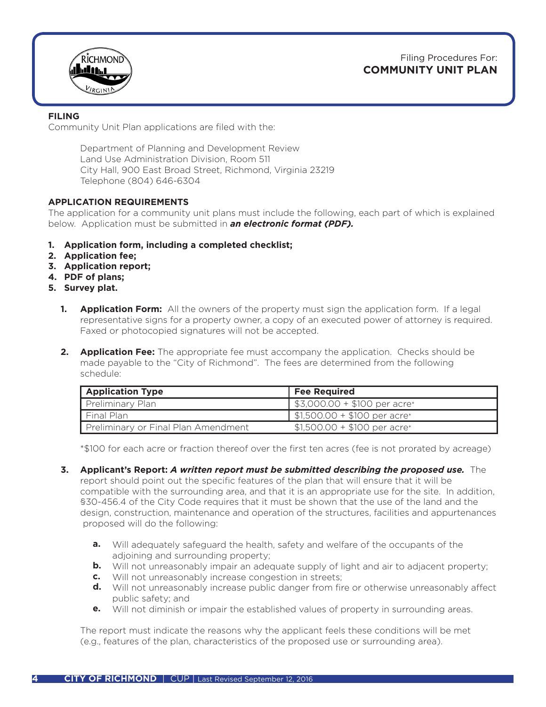Filing Procedures For: **COMMUNITY UNIT PLAN**



### **FILING**

Community Unit Plan applications are filed with the:

Department of Planning and Development Review Land Use Administration Division, Room 511 City Hall, 900 East Broad Street, Richmond, Virginia 23219 Telephone (804) 646-6304

### **APPLICATION REQUIREMENTS**

The application for a community unit plans must include the following, each part of which is explained below. Application must be submitted in *an electronic format (PDF).* 

- **1. Application form, including a completed checklist;**
- **2. Application fee;**
- **3. Application report;**
- **4. PDF of plans;**
- **5. Survey plat.**
	- **Application Form:** All the owners of the property must sign the application form. If a legal representative signs for a property owner, a copy of an executed power of attorney is required. Faxed or photocopied signatures will not be accepted. **1.**
	- **Application Fee:** The appropriate fee must accompany the application. Checks should be **2.** made payable to the "City of Richmond". The fees are determined from the following schedule:

| <b>Application Type</b>             | <b>Fee Required</b>                        |
|-------------------------------------|--------------------------------------------|
| Preliminary Plan                    | $\frac{1}{2}$ \$3,000.00 + \$100 per acre* |
| Final Plan                          | $\frac{1}{2}$ \$1,500.00 + \$100 per acre* |
| Preliminary or Final Plan Amendment | $$1,500.00 + $100$ per acre*               |

\*\$100 for each acre or fraction thereof over the first ten acres (fee is not prorated by acreage)

- **Applicant's Report:** *A written report must be submitted describing the proposed use.* The **3.** report should point out the specific features of the plan that will ensure that it will be compatible with the surrounding area, and that it is an appropriate use for the site. In addition, §30-456.4 of the City Code requires that it must be shown that the use of the land and the design, construction, maintenance and operation of the structures, facilities and appurtenances proposed will do the following:
	- Will adequately safeguard the health, safety and welfare of the occupants of the adjoining and surrounding property; **a.**
- **b.** Will not unreasonably impair an adequate supply of light and air to adjacent property;
- Will not unreasonably increase congestion in streets; **c.**
- **d.** Will not unreasonably increase public danger from fire or otherwise unreasonably affect public safety; and
- Will not diminish or impair the established values of property in surrounding areas. **e.**

The report must indicate the reasons why the applicant feels these conditions will be met (e.g., features of the plan, characteristics of the proposed use or surrounding area).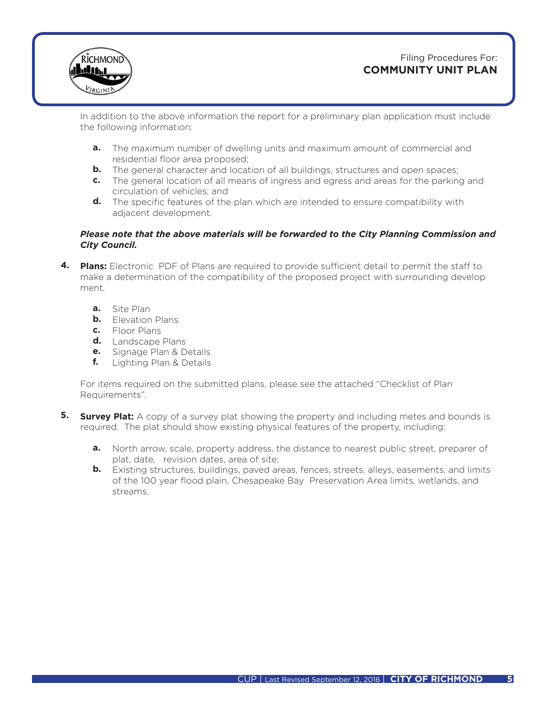

## Filing Procedures For: **COMMUNITY UNIT PLAN**

In addition to the above information the report for a preliminary plan application must include the following information:

- The maximum number of dwelling units and maximum amount of commercial and residential floor area proposed; **a.**
- **b.** The general character and location of all buildings, structures and open spaces;
- The general location of all means of ingress and egress and areas for the parking and **c.** circulation of vehicles; and
- **d.** The specific features of the plan which are intended to ensure compatibility with adjacent development.

### *Please note that the above materials will be forwarded to the City Planning Commission and City Council.*

- **Plans:** Electronic PDF of Plans are required to provide sufficient detail to permit the staff to **4.** make a determination of the compatibility of the proposed project with surrounding develop ment.
- **a.** Site Plan
- **b.** Elevation Plans
- Floor Plans **c.**
- Landscape Plans **d.**
- **e.** Signage Plan & Details
	- Lighting Plan & Details **f.**

For items required on the submitted plans, please see the attached "Checklist of Plan Requirements".

- **5. Survey Plat:** A copy of a survey plat showing the property and including metes and bounds is required. The plat should show existing physical features of the property, including:
- **a.** North arrow, scale, property address, the distance to nearest public street, preparer of plat, date, revision dates, area of site;
- **b.** Existing structures, buildings, paved areas, fences, streets, alleys, easements, and limits of the 100 year flood plain, Chesapeake Bay Preservation Area limits, wetlands, and streams.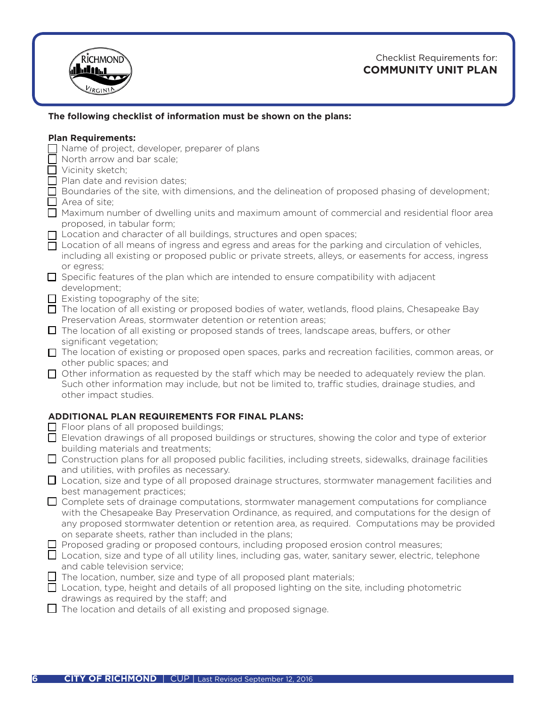

# Checklist Requirements for: **COMMUNITY UNIT PLAN**

## **The following checklist of information must be shown on the plans:**

### **Plan Requirements:**

- Name of project, developer, preparer of plans
- North arrow and bar scale;
- $\Box$  Vicinity sketch;
- $\Box$  Plan date and revision dates;
- $\Box$  Boundaries of the site, with dimensions, and the delineation of proposed phasing of development;  $\Box$  Area of site;
- Maximum number of dwelling units and maximum amount of commercial and residential floor area proposed, in tabular form;
- □ Location and character of all buildings, structures and open spaces;
- □ Location of all means of ingress and egress and areas for the parking and circulation of vehicles, including all existing or proposed public or private streets, alleys, or easements for access, ingress or egress;
- $\Box$  Specific features of the plan which are intended to ensure compatibility with adjacent development;
- $\Box$  Existing topography of the site;
- □ The location of all existing or proposed bodies of water, wetlands, flood plains, Chesapeake Bay Preservation Areas, stormwater detention or retention areas;
- The location of all existing or proposed stands of trees, landscape areas, buffers, or other significant vegetation;
- The location of existing or proposed open spaces, parks and recreation facilities, common areas, or other public spaces; and
- $\Box$  Other information as requested by the staff which may be needed to adequately review the plan. Such other information may include, but not be limited to, traffic studies, drainage studies, and other impact studies.

### **ADDITIONAL PLAN REQUIREMENTS FOR FINAL PLANS:**

- $\Box$  Floor plans of all proposed buildings;
- Elevation drawings of all proposed buildings or structures, showing the color and type of exterior building materials and treatments;
- Construction plans for all proposed public facilities, including streets, sidewalks, drainage facilities and utilities, with profiles as necessary.
- Location, size and type of all proposed drainage structures, stormwater management facilities and best management practices;
- $\Box$  Complete sets of drainage computations, stormwater management computations for compliance with the Chesapeake Bay Preservation Ordinance, as required, and computations for the design of any proposed stormwater detention or retention area, as required. Computations may be provided on separate sheets, rather than included in the plans;
- $\Box$  Proposed grading or proposed contours, including proposed erosion control measures;
- **□** Location, size and type of all utility lines, including gas, water, sanitary sewer, electric, telephone and cable television service;
- $\Box$  The location, number, size and type of all proposed plant materials;
- $\Box$  Location, type, height and details of all proposed lighting on the site, including photometric drawings as required by the staff; and
- $\Box$  The location and details of all existing and proposed signage.